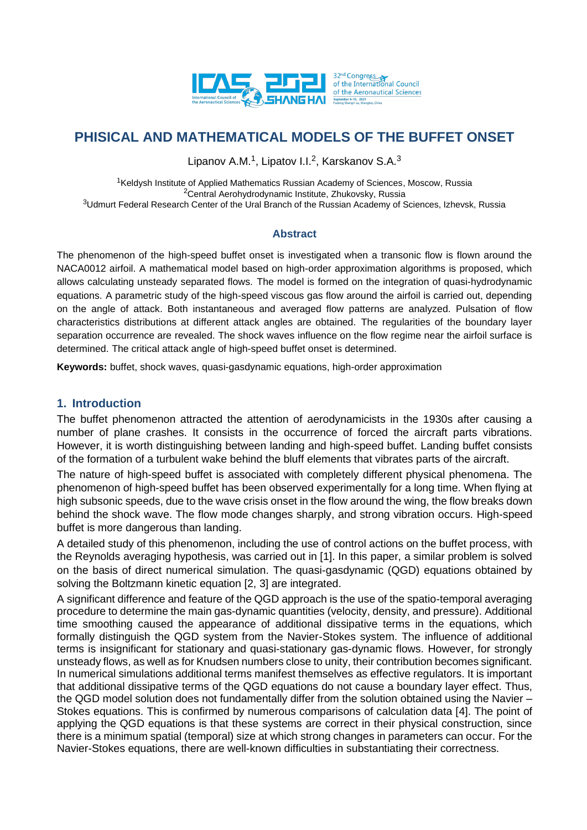

Lipanov A.M.<sup>1</sup>, Lipatov I.I.<sup>2</sup>, Karskanov S.A.<sup>3</sup>

<sup>1</sup>Keldysh Institute of Applied Mathematics Russian Academy of Sciences, Moscow, Russia <sup>2</sup>Central Aerohydrodynamic Institute, Zhukovsky, Russia <sup>3</sup>Udmurt Federal Research Center of the Ural Branch of the Russian Academy of Sciences, Izhevsk, Russia

## **Abstract**

The phenomenon of the high-speed buffet onset is investigated when a transonic flow is flown around the NACA0012 airfoil. A mathematical model based on high-order approximation algorithms is proposed, which allows calculating unsteady separated flows. The model is formed on the integration of quasi-hydrodynamic equations. A parametric study of the high-speed viscous gas flow around the airfoil is carried out, depending on the angle of attack. Both instantaneous and averaged flow patterns are analyzed. Pulsation of flow characteristics distributions at different attack angles are obtained. The regularities of the boundary layer separation occurrence are revealed. The shock waves influence on the flow regime near the airfoil surface is determined. The critical attack angle of high-speed buffet onset is determined.

**Keywords:** buffet, shock waves, quasi-gasdynamic equations, high-order approximation

## **1. Introduction**

The buffet phenomenon attracted the attention of aerodynamicists in the 1930s after causing a number of plane crashes. It consists in the occurrence of forced the aircraft parts vibrations. However, it is worth distinguishing between landing and high-speed buffet. Landing buffet consists of the formation of a turbulent wake behind the bluff elements that vibrates parts of the aircraft.

The nature of high-speed buffet is associated with completely different physical phenomena. The phenomenon of high-speed buffet has been observed experimentally for a long time. When flying at high subsonic speeds, due to the wave crisis onset in the flow around the wing, the flow breaks down behind the shock wave. The flow mode changes sharply, and strong vibration occurs. High-speed buffet is more dangerous than landing.

A detailed study of this phenomenon, including the use of control actions on the buffet process, with the Reynolds averaging hypothesis, was carried out in [1]. In this paper, a similar problem is solved on the basis of direct numerical simulation. The quasi-gasdynamic (QGD) equations obtained by solving the Boltzmann kinetic equation [2, 3] are integrated.

A significant difference and feature of the QGD approach is the use of the spatio-temporal averaging procedure to determine the main gas-dynamic quantities (velocity, density, and pressure). Additional time smoothing caused the appearance of additional dissipative terms in the equations, which formally distinguish the QGD system from the Navier-Stokes system. The influence of additional terms is insignificant for stationary and quasi-stationary gas-dynamic flows. However, for strongly unsteady flows, as well as for Knudsen numbers close to unity, their contribution becomes significant. In numerical simulations additional terms manifest themselves as effective regulators. It is important that additional dissipative terms of the QGD equations do not cause a boundary layer effect. Thus, the QGD model solution does not fundamentally differ from the solution obtained using the Navier – Stokes equations. This is confirmed by numerous comparisons of calculation data [4]. The point of applying the QGD equations is that these systems are correct in their physical construction, since there is a minimum spatial (temporal) size at which strong changes in parameters can occur. For the Navier-Stokes equations, there are well-known difficulties in substantiating their correctness.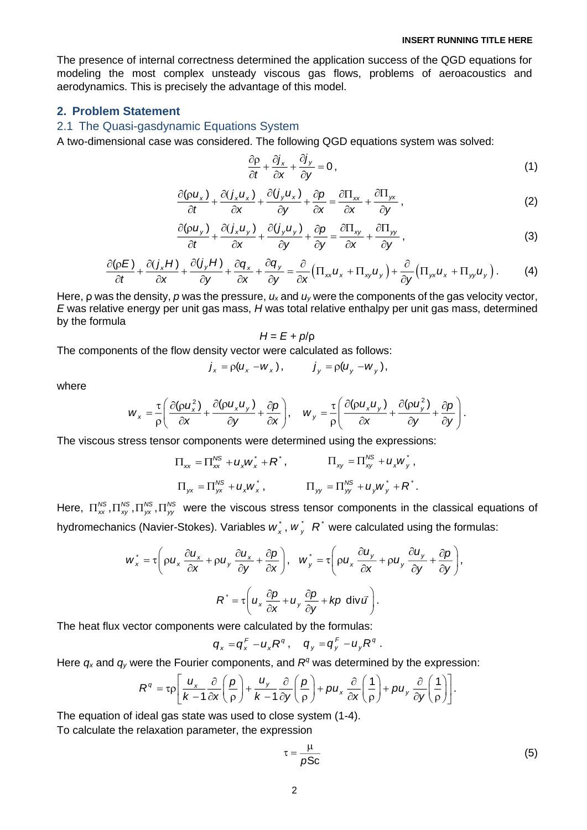The presence of internal correctness determined the application success of the QGD equations for modeling the most complex unsteady viscous gas flows, problems of aeroacoustics and aerodynamics. This is precisely the advantage of this model.

### **2. Problem Statement**

## 2.1 The Quasi-gasdynamic Equations System

A two-dimensional case was considered. The following QGD equations system was solved:

$$
\frac{\partial \rho}{\partial t} + \frac{\partial j_x}{\partial x} + \frac{\partial j_y}{\partial y} = 0, \qquad (1)
$$

$$
\frac{\partial(\rho u_x)}{\partial t} + \frac{\partial(j_x u_x)}{\partial x} + \frac{\partial(j_y u_x)}{\partial y} + \frac{\partial \rho}{\partial x} = \frac{\partial \Pi_{xx}}{\partial x} + \frac{\partial \Pi_{yx}}{\partial y},
$$
(2)

$$
\frac{\partial(\rho u_y)}{\partial t} + \frac{\partial(j_x u_y)}{\partial x} + \frac{\partial(j_y u_y)}{\partial y} + \frac{\partial \rho}{\partial y} = \frac{\partial \Pi_{xy}}{\partial x} + \frac{\partial \Pi_{yy}}{\partial y},
$$
\n(3)

$$
\frac{\partial(\rho E)}{\partial t} + \frac{\partial(j_x H)}{\partial x} + \frac{\partial(j_y H)}{\partial y} + \frac{\partial q_x}{\partial x} + \frac{\partial q_y}{\partial y} = \frac{\partial}{\partial x} \Big( \Pi_{xx} u_x + \Pi_{xy} u_y \Big) + \frac{\partial}{\partial y} \Big( \Pi_{yx} u_x + \Pi_{yy} u_y \Big) \,.
$$
 (4)

Here, ρ was the density, *p* was the pressure, *u<sup>x</sup>* and *u<sup>y</sup>* were the components of the gas velocity vector, *E* was relative energy per unit gas mass, *H* was total relative enthalpy per unit gas mass, determined by the formula

$$
H = E + p/p
$$

The components of the flow density vector were calculated as follows:

$$
j_x = \rho(u_x - w_x), \qquad j_y = \rho(u_y - w_y),
$$

where

$$
W_x = \frac{\tau}{\rho} \left( \frac{\partial (\rho u_x^2)}{\partial x} + \frac{\partial (\rho u_x u_y)}{\partial y} + \frac{\partial \rho}{\partial x} \right), \quad W_y = \frac{\tau}{\rho} \left( \frac{\partial (\rho u_x u_y)}{\partial x} + \frac{\partial (\rho u_y^2)}{\partial y} + \frac{\partial \rho}{\partial y} \right).
$$

The viscous stress tensor components were determined using the expressions:

$$
\Pi_{xx} = \Pi_{xx}^{NS} + u_x w_x^* + R^*, \qquad \Pi_{xy} = \Pi_{xy}^{NS} + u_x w_y^*,
$$
  

$$
\Pi_{yx} = \Pi_{yx}^{NS} + u_x w_x^*, \qquad \Pi_{yy} = \Pi_{yy}^{NS} + u_y w_y^* + R^*.
$$

Here,  $\Pi_{xx}^{NS},\Pi_{yy}^{NS},\Pi_{yx}^{NS}$  were the viscous stress tensor components in the classical equations of hydromechanics (Navier-Stokes). Variables  $w^*_{x}$ ,  $w^*_{y}$   $R^*$  were calculated using the formulas:

$$
w_x^* = \tau \left( \rho u_x \frac{\partial u_x}{\partial x} + \rho u_y \frac{\partial u_x}{\partial y} + \frac{\partial \rho}{\partial x} \right), \quad w_y^* = \tau \left( \rho u_x \frac{\partial u_y}{\partial x} + \rho u_y \frac{\partial u_y}{\partial y} + \frac{\partial \rho}{\partial y} \right),
$$

$$
R^* = \tau \left( u_x \frac{\partial \rho}{\partial x} + u_y \frac{\partial \rho}{\partial y} + k\rho \text{ div } \vec{u} \right).
$$

The heat flux vector components were calculated by the formulas:

$$
q_x = q_x^F - u_x R^q, \quad q_y = q_y^F - u_y R^q.
$$

Here  $q_x$  and  $q_y$  were the Fourier components, and  $R^q$  was determined by the expression:

$$
q_x = q_x - u_x R^3, \quad q_y = q_y R^3.
$$
  
Here the Fourier components, and  $R^q$  was determined by the expression:  

$$
R^q = \tau \rho \left[ \frac{u_x}{k-1} \frac{\partial}{\partial x} \left( \frac{\rho}{\rho} \right) + \frac{u_y}{k-1} \frac{\partial}{\partial y} \left( \frac{\rho}{\rho} \right) + \rho u_x \frac{\partial}{\partial x} \left( \frac{1}{\rho} \right) + \rho u_y \frac{\partial}{\partial y} \left( \frac{1}{\rho} \right) \right].
$$

The equation of ideal gas state was used to close system (1-4).

To calculate the relaxation parameter, the expression

$$
\tau = \frac{\mu}{\rho S c} \tag{5}
$$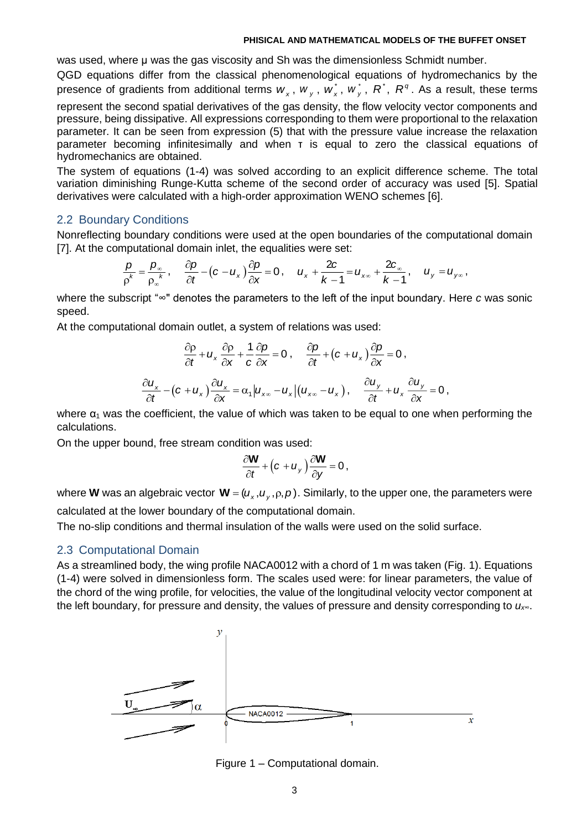was used, where μ was the gas viscosity and Sh was the dimensionless Schmidt number.

QGD equations differ from the classical phenomenological equations of hydromechanics by the presence of gradients from additional terms  $w_x$ ,  $w_y$ ,  $w_x^*$ ,  $w_y^*$ ,  $R^*$ ,  $R^q$ . As a result, these terms

represent the second spatial derivatives of the gas density, the flow velocity vector components and pressure, being dissipative. All expressions corresponding to them were proportional to the relaxation parameter. It can be seen from expression (5) that with the pressure value increase the relaxation parameter becoming infinitesimally and when τ is equal to zero the classical equations of hydromechanics are obtained.

The system of equations (1-4) was solved according to an explicit difference scheme. The total variation diminishing Runge-Kutta scheme of the second order of accuracy was used [5]. Spatial derivatives were calculated with a high-order approximation WENO schemes [6].

## 2.2 Boundary Conditions

Nonreflecting boundary conditions were used at the open boundaries of the computational domain [7]. At the computational domain inlet, the equalities were set:

$$
\frac{p}{\rho^k} = \frac{p_{\infty}}{\rho_{\infty}^k}, \quad \frac{\partial p}{\partial t} - (c - u_x) \frac{\partial p}{\partial x} = 0, \quad u_x + \frac{2c}{k-1} = u_{x\infty} + \frac{2c}{k-1}, \quad u_y = u_{y\infty},
$$

where the subscript "∞" denotes the parameters to the left of the input boundary. Here *c* was sonic speed.

At the computational domain outlet, a system of relations was used:

$$
\frac{\partial \rho}{\partial t} + u_x \frac{\partial \rho}{\partial x} + \frac{1}{c} \frac{\partial \rho}{\partial x} = 0, \quad \frac{\partial \rho}{\partial t} + (c + u_x) \frac{\partial \rho}{\partial x} = 0,
$$
  

$$
\frac{\partial u_x}{\partial t} - (c + u_x) \frac{\partial u_x}{\partial x} = \alpha_1 |u_{xx} - u_x| (u_{xx} - u_x), \quad \frac{\partial u_y}{\partial t} + u_x \frac{\partial u_y}{\partial x} = 0,
$$

where  $\alpha_1$  was the coefficient, the value of which was taken to be equal to one when performing the calculations.

On the upper bound, free stream condition was used:

$$
\frac{\partial \mathbf{W}}{\partial t} + \left(c + u_y\right) \frac{\partial \mathbf{W}}{\partial y} = 0,
$$

where **W** was an algebraic vector  $\mathbf{W} = (u_x, u_y, \rho, \rho)$ . Similarly, to the upper one, the parameters were calculated at the lower boundary of the computational domain.

The no-slip conditions and thermal insulation of the walls were used on the solid surface.

### 2.3 Computational Domain

As a streamlined body, the wing profile NACA0012 with a chord of 1 m was taken (Fig. 1). Equations (1-4) were solved in dimensionless form. The scales used were: for linear parameters, the value of the chord of the wing profile, for velocities, the value of the longitudinal velocity vector component at the left boundary, for pressure and density, the values of pressure and density corresponding to *ux∞*.



Figure 1 – Computational domain.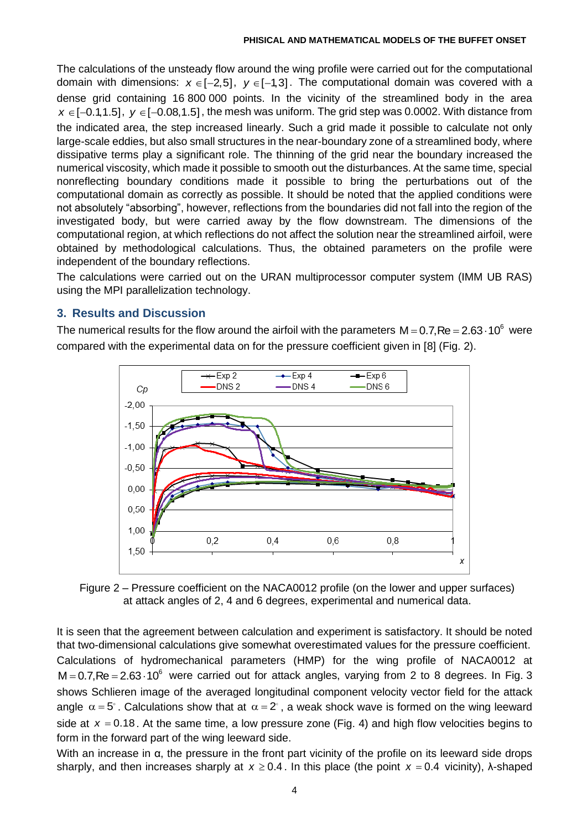The calculations of the unsteady flow around the wing profile were carried out for the computational domain with dimensions:  $x \in [-2,5]$ ,  $y \in [-1,3]$ . The computational domain was covered with a dense grid containing 16 800 000 points. In the vicinity of the streamlined body in the area *x* ∈[–0.1,1.5], *y* ∈[–0.08,1.5], the mesh was uniform. The grid step was 0.0002. With distance from the indicated area, the step increased linearly. Such a grid made it possible to calculate not only large-scale eddies, but also small structures in the near-boundary zone of a streamlined body, where dissipative terms play a significant role. The thinning of the grid near the boundary increased the numerical viscosity, which made it possible to smooth out the disturbances. At the same time, special nonreflecting boundary conditions made it possible to bring the perturbations out of the computational domain as correctly as possible. It should be noted that the applied conditions were not absolutely "absorbing", however, reflections from the boundaries did not fall into the region of the investigated body, but were carried away by the flow downstream. The dimensions of the computational region, at which reflections do not affect the solution near the streamlined airfoil, were obtained by methodological calculations. Thus, the obtained parameters on the profile were independent of the boundary reflections.

The calculations were carried out on the URAN multiprocessor computer system (IMM UB RAS) using the MPI parallelization technology.

## **3. Results and Discussion**

The numerical results for the flow around the airfoil with the parameters  $M = 0.7$ , Re = 2.63 $\cdot$ 10 $^{\circ}$  were compared with the experimental data on for the pressure coefficient given in [8] (Fig. 2).



Figure 2 – Pressure coefficient on the NACA0012 profile (on the lower and upper surfaces) at attack angles of 2, 4 and 6 degrees, experimental and numerical data.

It is seen that the agreement between calculation and experiment is satisfactory. It should be noted that two-dimensional calculations give somewhat overestimated values for the pressure coefficient. Calculations of hydromechanical parameters (HMP) for the wing profile of NACA0012 at  $M = 0.7$ ,Re = 2.63 $\cdot$ 10 $^6$  were carried out for attack angles, varying from 2 to 8 degrees. In Fig. 3 shows Schlieren image of the averaged longitudinal component velocity vector field for the attack angle  $\alpha$  = 5°. Calculations show that at  $\alpha$  = 2°, a weak shock wave is formed on the wing leeward side at  $x = 0.18$ . At the same time, a low pressure zone (Fig. 4) and high flow velocities begins to form in the forward part of the wing leeward side.

With an increase in  $\alpha$ , the pressure in the front part vicinity of the profile on its leeward side drops sharply, and then increases sharply at  $x \ge 0.4$ . In this place (the point  $x = 0.4$  vicinity),  $\lambda$ -shaped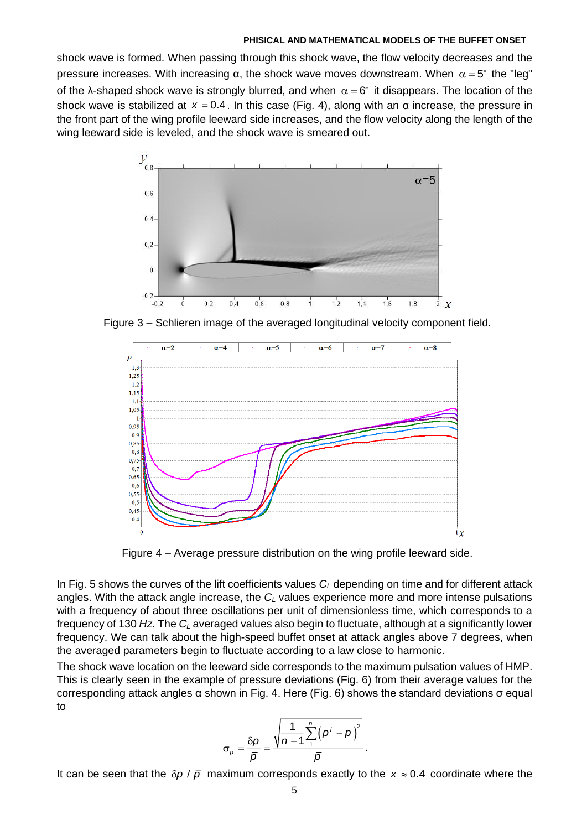shock wave is formed. When passing through this shock wave, the flow velocity decreases and the pressure increases. With increasing α, the shock wave moves downstream. When  $\alpha$  = 5 $^{\circ}$  the "leg" of the λ-shaped shock wave is strongly blurred, and when  $\alpha = 6^{\circ}$  it disappears. The location of the shock wave is stabilized at *<sup>x</sup>* <sup>=</sup> 0.4 . In this case (Fig. 4), along with an α increase, the pressure in the front part of the wing profile leeward side increases, and the flow velocity along the length of the wing leeward side is leveled, and the shock wave is smeared out.



Figure 3 – Schlieren image of the averaged longitudinal velocity component field.



Figure 4 – Average pressure distribution on the wing profile leeward side.

In Fig. 5 shows the curves of the lift coefficients values *C<sup>L</sup>* depending on time and for different attack angles. With the attack angle increase, the *C<sup>L</sup>* values experience more and more intense pulsations with a frequency of about three oscillations per unit of dimensionless time, which corresponds to a frequency of 130 *Hz*. The *C<sup>L</sup>* averaged values also begin to fluctuate, although at a significantly lower frequency. We can talk about the high-speed buffet onset at attack angles above 7 degrees, when the averaged parameters begin to fluctuate according to a law close to harmonic.

The shock wave location on the leeward side corresponds to the maximum pulsation values of HMP. This is clearly seen in the example of pressure deviations (Fig. 6) from their average values for the corresponding attack angles α shown in Fig. 4. Here (Fig. 6) shows the standard deviations σ equal to

$$
\sigma_p = \frac{\delta p}{\overline{p}} = \frac{\sqrt{\frac{1}{n-1}\sum_{i=1}^{n} (p^i - \overline{p})^2}}{\overline{p}}.
$$

It can be seen that the  $\delta p / \bar{p}$  maximum corresponds exactly to the  $x \approx 0.4$  coordinate where the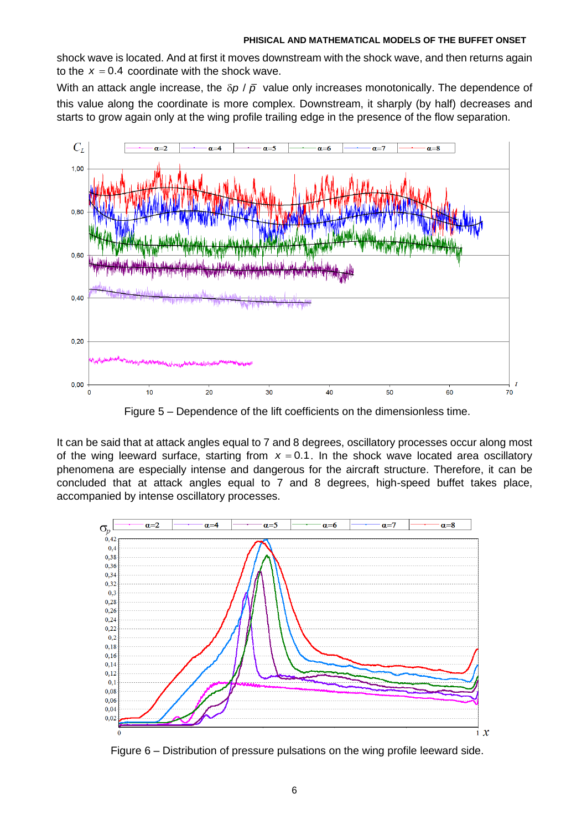shock wave is located. And at first it moves downstream with the shock wave, and then returns again to the  $x = 0.4$  coordinate with the shock wave.

With an attack angle increase, the  $\delta p$  /  $\bar{p}$  value only increases monotonically. The dependence of this value along the coordinate is more complex. Downstream, it sharply (by half) decreases and starts to grow again only at the wing profile trailing edge in the presence of the flow separation.



Figure 5 – Dependence of the lift coefficients on the dimensionless time.

It can be said that at attack angles equal to 7 and 8 degrees, oscillatory processes occur along most of the wing leeward surface, starting from *<sup>x</sup>* <sup>=</sup> 0.1. In the shock wave located area oscillatory phenomena are especially intense and dangerous for the aircraft structure. Therefore, it can be concluded that at attack angles equal to 7 and 8 degrees, high-speed buffet takes place, accompanied by intense oscillatory processes.



Figure 6 – Distribution of pressure pulsations on the wing profile leeward side.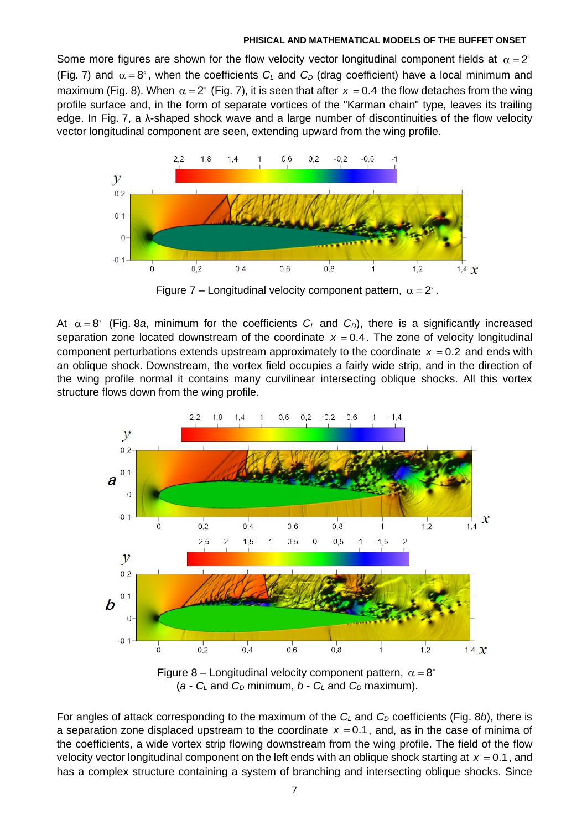Some more figures are shown for the flow velocity vector longitudinal component fields at  $\alpha$  = 2 (Fig. 7) and  $\alpha = 8^{\circ}$ , when the coefficients  $C_L$  and  $C_D$  (drag coefficient) have a local minimum and maximum (Fig. 8). When  $\alpha$  = 2 $^{\circ}$  (Fig. 7), it is seen that after  $\,$  = 0.4 the flow detaches from the wing profile surface and, in the form of separate vortices of the "Karman chain" type, leaves its trailing edge. In Fig. 7, a λ-shaped shock wave and a large number of discontinuities of the flow velocity vector longitudinal component are seen, extending upward from the wing profile.



Figure 7 – Longitudinal velocity component pattern,  $\alpha = 2^\circ$ .

At  $\alpha = 8^{\circ}$  (Fig. 8a, minimum for the coefficients  $C_L$  and  $C_D$ ), there is a significantly increased separation zone located downstream of the coordinate  $x = 0.4$ . The zone of velocity longitudinal component perturbations extends upstream approximately to the coordinate  $x = 0.2$  and ends with an oblique shock. Downstream, the vortex field occupies a fairly wide strip, and in the direction of the wing profile normal it contains many curvilinear intersecting oblique shocks. All this vortex structure flows down from the wing profile.



( $a - C_L$  and  $C_D$  minimum,  $b - C_L$  and  $C_D$  maximum).

For angles of attack corresponding to the maximum of the *C<sup>L</sup>* and *C<sup>D</sup>* coefficients (Fig. 8*b*), there is a separation zone displaced upstream to the coordinate  $x = 0.1$ , and, as in the case of minima of the coefficients, a wide vortex strip flowing downstream from the wing profile. The field of the flow velocity vector longitudinal component on the left ends with an oblique shock starting at  $x = 0.1$ , and has a complex structure containing a system of branching and intersecting oblique shocks. Since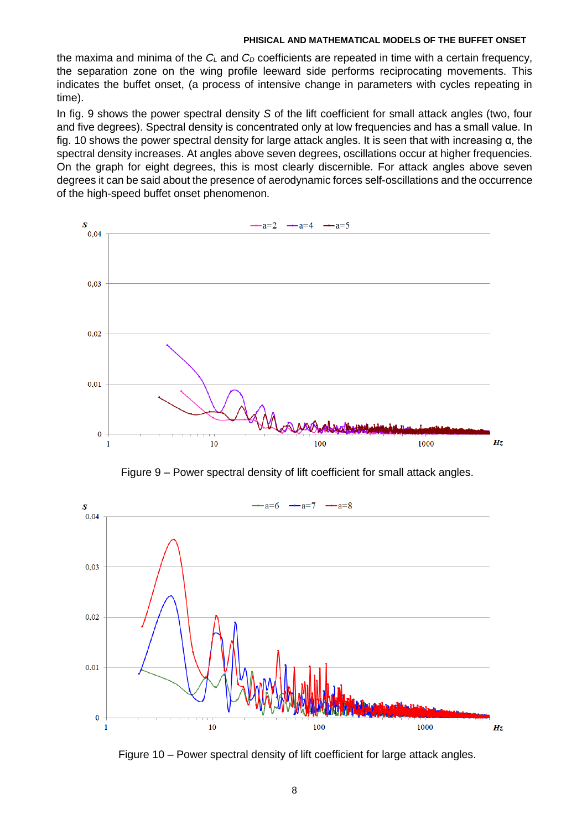the maxima and minima of the *C<sup>L</sup>* and *C<sup>D</sup>* coefficients are repeated in time with a certain frequency, the separation zone on the wing profile leeward side performs reciprocating movements. This indicates the buffet onset, (a process of intensive change in parameters with cycles repeating in time).

In fig. 9 shows the power spectral density *S* of the lift coefficient for small attack angles (two, four and five degrees). Spectral density is concentrated only at low frequencies and has a small value. In fig. 10 shows the power spectral density for large attack angles. It is seen that with increasing α, the spectral density increases. At angles above seven degrees, oscillations occur at higher frequencies. On the graph for eight degrees, this is most clearly discernible. For attack angles above seven degrees it can be said about the presence of aerodynamic forces self-oscillations and the occurrence of the high-speed buffet onset phenomenon.



Figure 9 – Power spectral density of lift coefficient for small attack angles.